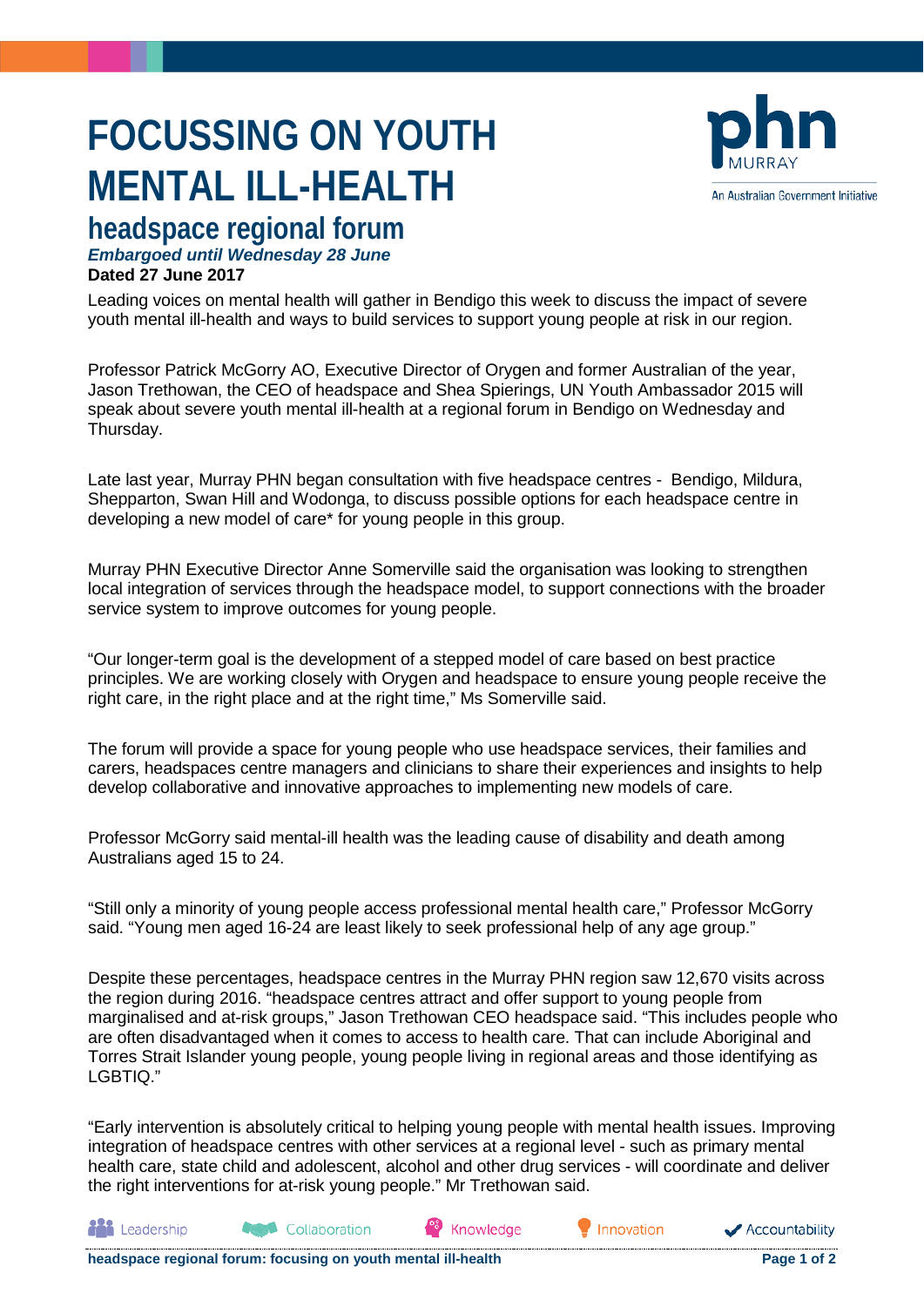# **FOCUSSING ON YOUTH MENTAL ILL-HEALTH**



## **headspace regional forum** *Embargoed until Wednesday 28 June*

### **Dated 27 June 2017**

Leading voices on mental health will gather in Bendigo this week to discuss the impact of severe youth mental ill-health and ways to build services to support young people at risk in our region.

Professor Patrick McGorry AO, Executive Director of Orygen and former Australian of the year, Jason Trethowan, the CEO of headspace and Shea Spierings, UN Youth Ambassador 2015 will speak about severe youth mental ill-health at a regional forum in Bendigo on Wednesday and Thursday.

Late last year, Murray PHN began consultation with five headspace centres - Bendigo, Mildura, Shepparton, Swan Hill and Wodonga, to discuss possible options for each headspace centre in developing a new model of care\* for young people in this group.

Murray PHN Executive Director Anne Somerville said the organisation was looking to strengthen local integration of services through the headspace model, to support connections with the broader service system to improve outcomes for young people.

"Our longer-term goal is the development of a stepped model of care based on best practice principles. We are working closely with Orygen and headspace to ensure young people receive the right care, in the right place and at the right time," Ms Somerville said.

The forum will provide a space for young people who use headspace services, their families and carers, headspaces centre managers and clinicians to share their experiences and insights to help develop collaborative and innovative approaches to implementing new models of care.

Professor McGorry said mental-ill health was the leading cause of disability and death among Australians aged 15 to 24.

"Still only a minority of young people access professional mental health care," Professor McGorry said. "Young men aged 16-24 are least likely to seek professional help of any age group."

Despite these percentages, headspace centres in the Murray PHN region saw 12,670 visits across the region during 2016. "headspace centres attract and offer support to young people from marginalised and at-risk groups," Jason Trethowan CEO headspace said. "This includes people who are often disadvantaged when it comes to access to health care. That can include Aboriginal and Torres Strait Islander young people, young people living in regional areas and those identifying as LGBTIQ."

"Early intervention is absolutely critical to helping young people with mental health issues. Improving integration of headspace centres with other services at a regional level - such as primary mental health care, state child and adolescent, alcohol and other drug services - will coordinate and deliver the right interventions for at-risk young people." Mr Trethowan said.

Knowledge

**headspace regional forum: focusing on youth mental ill-health Page 1 of 2 Page 1 of 2** 

Collaboration

**All** Leadership

Innovation

Accountability